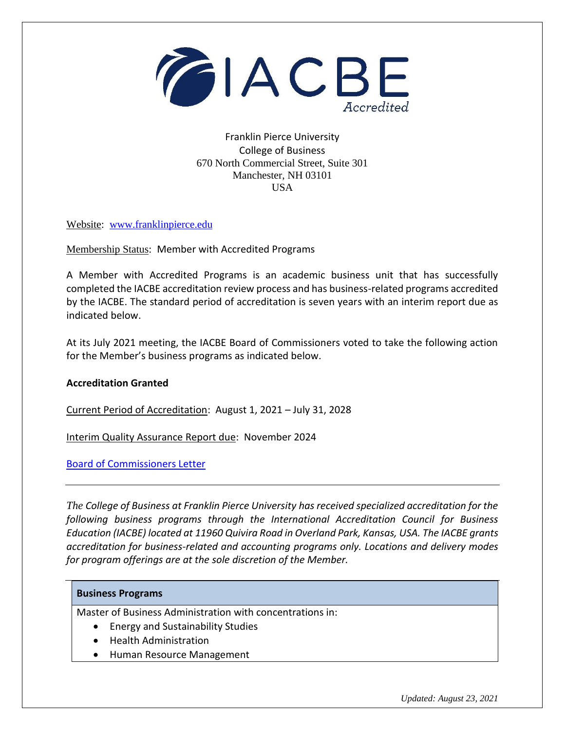

## Franklin Pierce University College of Business 670 North Commercial Street, Suite 301 Manchester, NH 03101 USA

Website: [www.franklinpierce.edu](http://www.franklinpierce.edu/)

Membership Status: Member with Accredited Programs

A Member with Accredited Programs is an academic business unit that has successfully completed the IACBE accreditation review process and has business-related programs accredited by the IACBE. The standard period of accreditation is seven years with an interim report due as indicated below.

At its July 2021 meeting, the IACBE Board of Commissioners voted to take the following action for the Member's business programs as indicated below.

## **Accreditation Granted**

Current Period of Accreditation: August 1, 2021 – July 31, 2028

Interim Quality Assurance Report due: November 2024

[Board of Commissioners Letter](https://iacbe.org/memberpdf/FranklinPierceBOCDecisionLetterJuly2021Final.pdf)

*The College of Business at Franklin Pierce University has received specialized accreditation for the following business programs through the International Accreditation Council for Business Education (IACBE) located at 11960 Quivira Road in Overland Park, Kansas, USA. The IACBE grants accreditation for business-related and accounting programs only. Locations and delivery modes for program offerings are at the sole discretion of the Member.*

## **Business Programs**

Master of Business Administration with concentrations in:

- Energy and Sustainability Studies
- Health Administration
- Human Resource Management